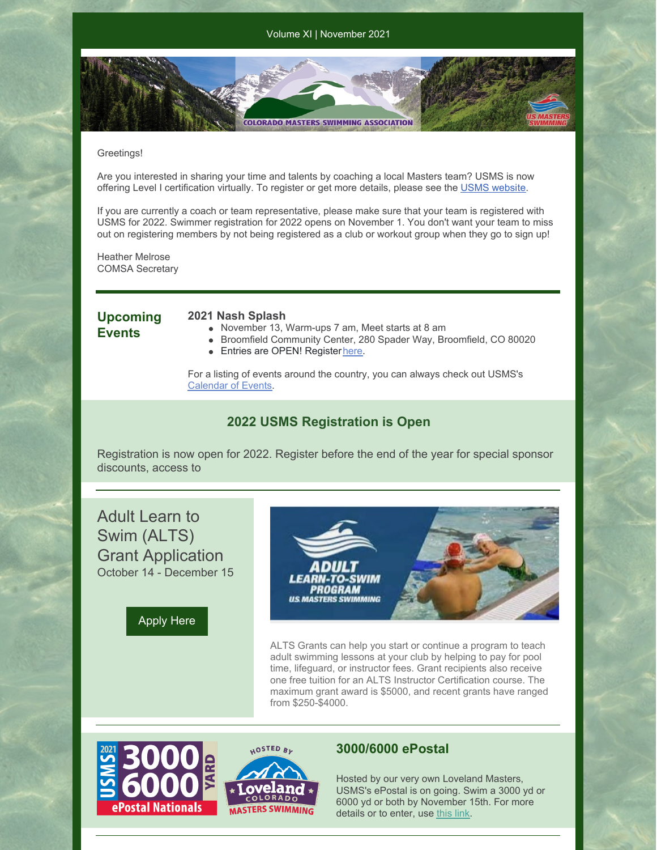**COLORADO MASTERS SWIMMING ASSOCIATION** 

#### Greetings!

Are you interested in sharing your time and talents by coaching a local Masters team? USMS is now offering Level I certification virtually. To register or get more details, please see the [USMS](https://www.usms.org/coach-central/coach-certification) webs[ite](https://www.usms.org/coach-central/coach-certification).

If you are currently a coach or team representative, please make sure that your team is registered with USMS for 2022. Swimmer registration for 2022 opens on November 1. You don't want your team to miss out on registering members by not being registered as a club or workout group when they go to sign up!

Heather Melrose COMSA Secretary

## **Upcoming Events**

#### **2021 Nash Splash**

- November 13, Warm-ups 7 am, Meet starts at 8 am
- Broomfield Community Center, 280 Spader Way, Broomfield, CO 80020
- Entries are OPEN! Register [here](https://www.clubassistant.com/club/meet_information.cfm?c=2374&smid=14186&_ga=2.156113011.959997245.1635212040-416309991.1635212040).

For a listing of events around the country, you can always check out USMS's [Calendar](https://www.usms.org/events) of Events.

## **2022 USMS Registration is Open**

Registration is now open for 2022. Register before the end of the year for special sponsor discounts, access to

Adult Learn to Swim (ALTS) Grant Application October 14 - December 15





ALTS Grants can help you start or continue a program to teach adult swimming lessons at your club by helping to pay for pool time, lifeguard, or instructor fees. Grant recipients also receive one free tuition for an ALTS Instructor Certification course. The maximum grant award is \$5000, and recent grants have ranged from \$250-\$4000.



### **3000/6000 ePostal**

Hosted by our very own Loveland Masters, USMS's ePostal is on going. Swim a 3000 yd or 6000 yd or both by November 15th. For more details or to enter, use [this](https://www.usms.org/events/national-championships/epostal-national-championships/2021-epostal-national-championships/2021-3000-6000-epostal-national-championship) link.